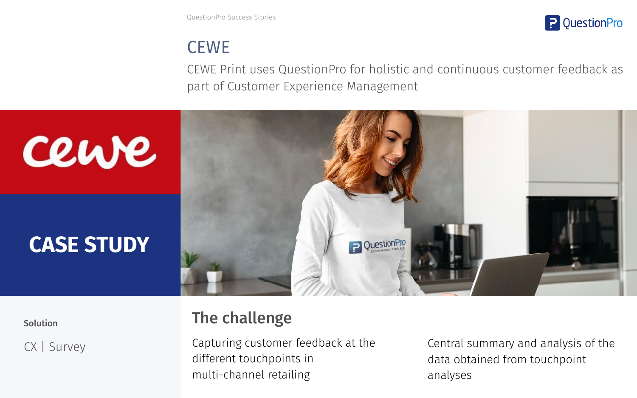QuestionPro Success Stories



# **CEWE**

CEWE Print uses QuestionPro for holistic and continuous customer feedback as part of Customer Experience Management



CX | Survey

## Solution **The challenge**

Capturing customer feedback at the different touchpoints in multi-channel retailing

Central summary and analysis of the data obtained from touchpoint analyses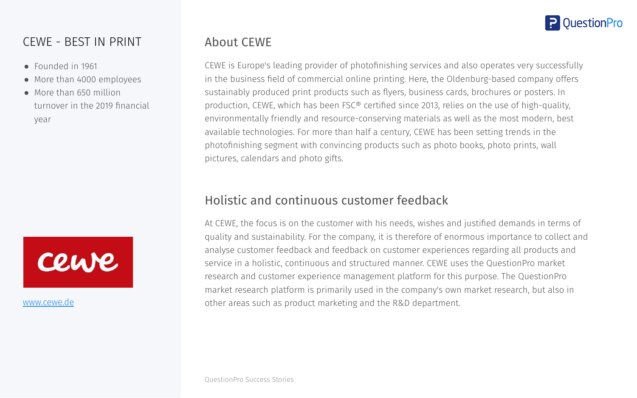

#### CEWE - BEST IN PRINT

- Founded in 1961
- More than 4000 employees
- More than 650 million turnover in the 2019 financial year



[www.cewe.de](http://www.cewe.de)

#### About CEWE

CEWE is Europe's leading provider of photofinishing services and also operates very successfully in the business field of commercial online printing. Here, the Oldenburg-based company offers sustainably produced print products such as flyers, business cards, brochures or posters. In production, CEWE, which has been FSC® certified since 2013, relies on the use of high-quality, environmentally friendly and resource-conserving materials as well as the most modern, best available technologies. For more than half a century, CEWE has been setting trends in the photofinishing segment with convincing products such as photo books, photo prints, wall pictures, calendars and photo gifts.

### Holistic and continuous customer feedback

At CEWE, the focus is on the customer with his needs, wishes and justified demands in terms of quality and sustainability. For the company, it is therefore of enormous importance to collect and analyse customer feedback and feedback on customer experiences regarding all products and service in a holistic, continuous and structured manner. CEWE uses the QuestionPro market research and customer experience management platform for this purpose. The QuestionPro market research platform is primarily used in the company's own market research, but also in other areas such as product marketing and the R&D department.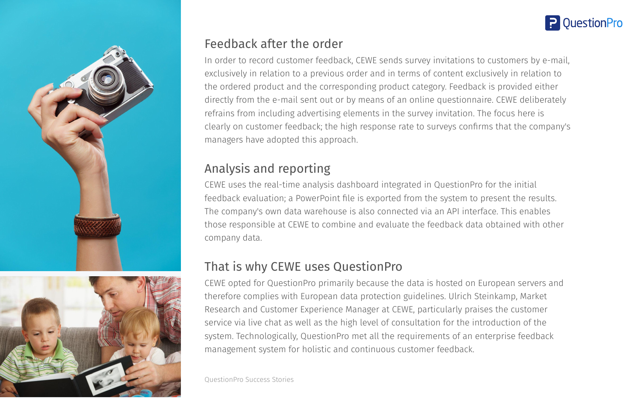

#### Feedback after the order

In order to record customer feedback, CEWE sends survey invitations to customers by e-mail, exclusively in relation to a previous order and in terms of content exclusively in relation to the ordered product and the corresponding product category. Feedback is provided either directly from the e-mail sent out or by means of an online questionnaire. CEWE deliberately refrains from including advertising elements in the survey invitation. The focus here is clearly on customer feedback; the high response rate to surveys confirms that the company's managers have adopted this approach.

## Analysis and reporting

CEWE uses the real-time analysis dashboard integrated in QuestionPro for the initial feedback evaluation; a PowerPoint file is exported from the system to present the results. The company's own data warehouse is also connected via an API interface. This enables those responsible at CEWE to combine and evaluate the feedback data obtained with other company data.

## That is why CEWE uses QuestionPro

CEWE opted for QuestionPro primarily because the data is hosted on European servers and therefore complies with European data protection guidelines. Ulrich Steinkamp, Market Research and Customer Experience Manager at CEWE, particularly praises the customer service via live chat as well as the high level of consultation for the introduction of the system. Technologically, QuestionPro met all the requirements of an enterprise feedback management system for holistic and continuous customer feedback.

QuestionPro Success Stories